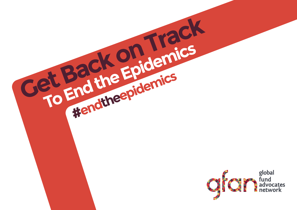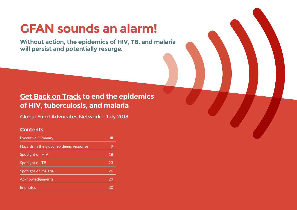## **GFAN sounds an alarm!**

**Without action, the epidemics of HIV, TB, and malaria will persist and potentially resurge.**

## **Get Back on Track to end the epidemics of HIV, tuberculosis, and malaria**

Global Fund Advocates Network - July 2018

## **Contents**

| <b>Executive Summary</b>                | Ш  |  |
|-----------------------------------------|----|--|
| Hazards in the global epidemic response |    |  |
| Spotlight on HIV                        | 18 |  |
| Spotlight on TB                         | 23 |  |
| Spotlight on malaria                    | 26 |  |
| Acknowledgements                        | 29 |  |
| <b>Endnotes</b>                         |    |  |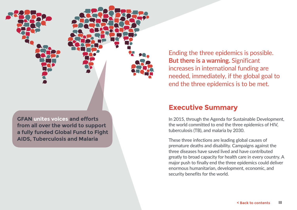

**AIDS, Tuberculosis and Malaria**

Ending the three epidemics is possible. **But there is a warning.** Significant increases in international funding are needed, immediately, if the global goal to end the three epidemics is to be met.

## **Executive Summary**

In 2015, through the Agenda for Sustainable Development, the world committed to end the three epidemics of HIV, tuberculosis (TB), and malaria by 2030.

These three infections are leading global causes of premature deaths and disability. Campaigns against the three diseases have saved lived and have contributed greatly to broad capacity for health care in every country. A major push to finally end the three epidemics could deliver enormous humanitarian, development, economic, and security benefits for the world.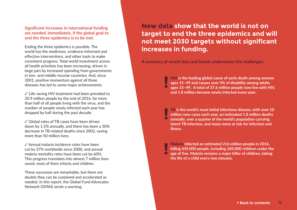**Significant increases in international funding are needed, immediately, if the global goal to end the three epidemics is to be met.**

Ending the three epidemics is possible. The world has the medicines, evidence-informed and effective interventions, and other tools to make consistent progress. Total world investment across all health priorities has been increasing, driven in large part by increased spending from governments in low- and middle-income countries. And, since 2001, positive momentum against all three diseases has led to some major achievements:

 $\checkmark$  Life-saving HIV treatment had been provided to 20.9 million people by the end of 2016, far more than half of all people living with the virus, and the number of people newly infected each year has dropped by half during the past decade.

✔ Global rates of TB cases have been driven down by 1.5% annually, and there has been a 30% decrease in TB-related deaths since 2002, saving more than 50 million lives.

 Annual malaria incidence rates have been cut by 37% worldwide since 2000, and annual malaria mortality rates have been cut by 60%. This progress translates into almost 7 million lives saved, most of them infants and children.

These successes are remarkable, but there are doubts they can be sustained and accelerated as needed. In this report, the Global Fund Advocates Network (GFAN) sends a warning:

## **New data show that the world is not on target to end the three epidemics and will not meet 2030 targets without significant increases in funding.**

**A summary of recent data and trends underscores the challenges:**

HIV **is the leading global cause of early death among women ages 15–49 and causes over 5% of disability among adults ages 15–49. A total of 37.6 million people now live with HIV, and 1.8 million become newly infected every year.**

TB **is the world's most lethal infectious disease, with over 10 million new cases each year, an estimated 1.8 million deaths annually, over a quarter of the world's population carrying latent TB infection, and many more at risk for infection and illness.**

Malaria **infected an estimated 216 million people in 2016, killing 445,000 people, including 285,000 children under the age of five. Malaria remains a major killer of children, taking the life of a child every two minutes.**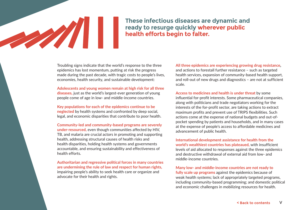## **These infectious diseases are dynamic and ready to resurge quickly wherever public health efforts begin to falter.**

Troubling signs indicate that the world's response to the three epidemics has lost momentum, putting at risk the progress made during the past decade, with tragic costs to people's lives, economies, health security, and sustainable development:

**Adolescents and young women remain at high risk for all three diseases,** just as the world's largest-ever generation of young people come of age in low- and middle-income countries.

**Key populations for each of the epidemics continue to be neglected** by health systems and confronted by deep social, legal, and economic disparities that contribute to poor health.

**Community-led and community-based programs are severely under-resourced,** even though communities affected by HIV, TB, and malaria are crucial actors in promoting and supporting health, addressing structural causes of health risks and health disparities, holding health systems and governments accountable, and ensuring sustainability and effectiveness of health efforts.

**Authoritarian and regressive political forces in many countries are undermining the rule of law and respect for human rights,** impairing people's ability to seek health care or organize and advocate for their health and rights.

**All three epidemics are experiencing growing drug resistance,**  and actions to forestall further resistance – such as targeted health services, expansion of community-based health support, and roll-out of new drugs and diagnostics – are not at sufficient scale.

**Access to medicines and health is under threat** by some influential for-profit interests. Some pharmaceutical companies, along with politicians and trade negotiators working for the interests of the for-profit sector, are taking actions to extract maximum profits and prevent use of TRIPS flexibilities. Such actions come at the expense of national budgets and out-ofpocket spending by patients and households, and in many cases at the expense of people's access to affordable medicines and advancement of public health.

**International development assistance for health from the world's wealthiest countries has plateaued,** with insufficient levels of aid allocated to responses against the three epidemics and destructive withdrawal of external aid from low- and middle-income countries.

**Many low- and middle-income countries are not ready to fully scale up programs** against the epidemics because of weak health systems; lack of appropriately targeted programs, including community-based programming; and domestic political and economic challenges in mobilizing resources for health.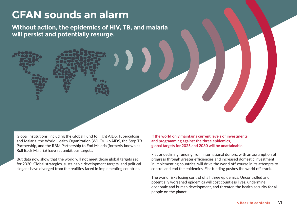## **GFAN sounds an alarm**

**Without action, the epidemics of HIV, TB, and malaria will persist and potentially resurge.**

Global institutions, including the Global Fund to Fight AIDS, Tuberculosis and Malaria, the World Health Organization (WHO), UNAIDS, the Stop TB Partnership, and the RBM Partnership to End Malaria (formerly known as Roll Back Malaria) have set ambitious targets.

But data now show that the world will not meet those global targets set for 2020. Global strategies, sustainable development targets, and political slogans have diverged from the realities faced in implementing countries.

**If the world only maintains current levels of investments and programming against the three epidemics, global targets for 2025 and 2030 will be unattainable.** 

Flat or declining funding from international donors, with an assumption of progress through greater efficiencies and increased domestic investment in implementing countries, will drive the world off-course in its attempts to control and end the epidemics. Flat funding pushes the world off-track.

The world risks losing control of all three epidemics. Uncontrolled and potentially worsened epidemics will cost countless lives, undermine economic and human development, and threaten the health security for all people on the planet.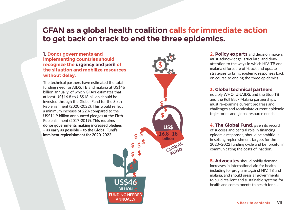## **GFAN as a global health coalition calls for immediate action to get back on track to end the three epidemics.**

### **1. Donor governments and implementing countries should recognize the urgency and peril of the situation and mobilize resources without delay.**

The technical partners have estimated the total funding need for AIDS, TB and malaria at US\$46 billion annually, of which GFAN estimates that at least US\$16.8 to US\$18 billion should be invested through the Global Fund for the Sixth Replenishment (2020-2022). This would reflect a minimum increase of 22% compared to the US\$11.9 billion announced pledges at the Fifth Replenishment (2017-2019). **This requires donor governments making increased pledges – as early as possible – to the Global Fund's imminent replenishment for 2020-2022.**

**US\$ 16.8–18** \$ **billion GLOBAL FUND BILLION FUNDING NEEDED ANNUALLY**

**2. Policy experts** and decision makers must acknowledge, articulate, and draw attention to the ways in which HIV, TB and malaria efforts are off-track and update strategies to bring epidemic responses back on course to ending the three epidemics.

### **3. Global technical partners**,

notably WHO, UNAIDS, and the Stop TB and the Roll Back Malaria partnerships, must re-examine current progress and challenges and recalculate current epidemic trajectories and global resource needs.

**4. The Global Fund**, given its record of success and central role in financing epidemic responses, should be ambitious in setting replenishment targets for the 2020–2022 funding cycle and be forceful in communicating the costs of inaction.

**5. Advocates** should boldly demand increases in international aid for health, including for programs against HIV, TB and malaria, and should press all governments US\$46 **health and commitments to health for all.** The systems for the build resilient and sustainable systems for  $\frac{1}{2}$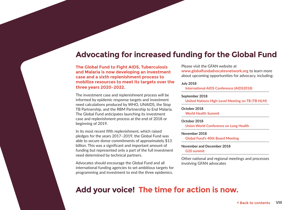## **Advocating for increased funding for the Global Fund**

**The Global Fund to Fight AIDS, Tuberculosis and Malaria is now developing an investment case and a sixth replenishment process to mobilize resources to meet its targets over the three years 2020–2022.** 

The investment case and replenishment process will be informed by epidemic response targets and investment need calculations produced by WHO, UNAIDS, the Stop TB Partnership, and the RBM Partnership to End Malaria. The Global Fund anticipates launching its investment case and replenishment process at the end of 2018 or beginning of 2019.

In its most recent fifth replenishment, which raised pledges for the years 2017–2019, the Global Fund was able to secure donor commitments of approximately \$13 billion. This was a significant and important amount of funding but represented only a part of the full investment need determined by technical partners.

Advocates should encourage the Global Fund and all international funding agencies to set ambitious targets for programming and investment to end the three epidemics.

Please visit the GFAN website at **www.globalfundadvocatesnetwork.org** to learn more about upcoming opportunities for advocacy, including:

#### **July 2018**

**International AIDS Conference (AIDS2018)**

#### **September 2018**

**United Nations High-Level Meeting on TB (TB HLM)**

#### **October 2018**

**World Health Summit**

#### **October 2018**

**Union World Conference on Lung Health**

#### **November 2018**

**Global Fund's 40th Board Meeting**

#### **November and December 2018 G20 summit**

Other national and regional meetings and processes involving GFAN advocates

## **Add your voice! The time for action is now.**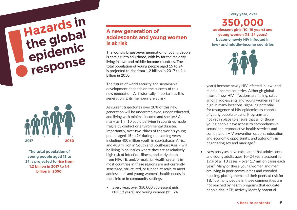**Hazards in the global epidemic response**



**The total population of young people aged 15 to 24 is projected to rise from 1.2 billion in 2017 to 1.4 billion in 2050.**

## **A new generation of adolescents and young women is at risk**

The world's largest-ever generation of young people is coming into adulthood, with by far the majority living in low- and middle-income countries. The total population of young people aged 15 to 24 is projected to rise from 1.2 billion in 2017 to 1.4 billion in 2050.

The future of world security and sustainable development depends on the success of this new generation. As historically important as this generation is, its members are at risk.

At current trajectories over 20% of this new generation will be underemployed, under-educated, and living with minimal income and shelter.<sup>1</sup> As many as 1 in 10 could be living in countries made fragile by conflict or environmental disaster. Importantly, over two-thirds of the world's young people aged 15 to 24 during the coming years – including 400 million youth in sub-Saharan Africa and 400 million in South and Southeast Asia – will be living in countries where they are at relatively high risk of infection, illness, and early death from HIV, TB, and/or malaria. Health systems in most countries in these regions are not currently sensitized, structured, or funded at scale to meet adolescents' and young women's health needs in the clinic or in community settings.

• Every year, over 350,000 adolescent girls (10–19 years) and young women (15–24

**350,000 adolescent girls (10–19 years) and young women (15–24 years) become newly HIV infected in low- and middle-income countries**

**Every year, over**



years) become newly HIV infected in low- and middle-income countries. Although global rates of new HIV infections are falling, rates among adolescents and young women remain high in many locations, signaling potential for resurgence of HIV epidemics as cohorts of young people expand. Programs are not yet in place to ensure that all of those young people have access to comprehensive sexual and reproductive health services and combination HIV prevention options, education and economic opportunity, and autonomy in negotiating sex and marriage.2

• New analyses have calculated that adolescents and young adults ages 10–24 years account for 17% of all TB cases – over 1.7 million cases each year.3 Many of these young women and men are living in poor communities and crowded housing, placing them and their peers at risk for TB. Too many people in those communities are not reached by health programs that educate people about TB, actively identify potential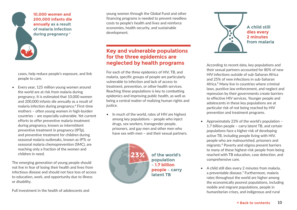

**10,000 women and 200,000 infants die annually as a result of malaria infection during pregnancy <sup>4</sup>**

cases, help reduce people's exposure, and link people to care.

• Every year, 125 million young women around the world are at risk from malaria during pregnancy. It is estimated that 10,000 women and 200,000 infants die annually as a result of malaria infection during pregnancy.4 First-time mothers – often young women in high-burden countries – are especially vulnerable. Yet current efforts to offer preventive malaria treatment during pregnancy, known as intermittent preventive treatment in pregnancy (IPTp), and preventive treatment for children during seasonal malaria outbreaks, known as IPTc or seasonal malaria chemoprevention (SMC), are reaching only a fraction of the women and children in need.

The emerging generation of young people should not live in fear of losing their health and lives from infectious disease and should not face loss of access to education, work, and opportunity due to illness or disability.

Full investment in the health of adolescents and

young women through the Global Fund and other financing programs is needed to prevent needless costs to people's health and lives and reinforce economies, health security, and sustainable development.

## **Key and vulnerable populations for the three epidemics are neglected by health programs**

For each of the three epidemics of HIV, TB, and malaria, specific groups of people are particularly vulnerable to infection and lack of access to treatment, prevention, or other health services. Reaching these populations is key to combatting epidemics and improving public health, as well as being a central matter of realizing human rights and iustice.

• In much of the world, rates of HIV are highest among key populations – people who inject drugs, sex workers, transgender people, prisoners, and gay men and other men who have sex with men – and their sexual partners.



**of the world's population – 1.7 billion people – carry latent TB**



According to recent data, key populations and their sexual partners accounted for 80% of new HIV infections outside of sub-Saharan Africa and 25% of new infections in sub-Saharan Africa.5 Many live in countries where criminal laws, punitive law enforcement, and neglect and repression by their governments create barriers to effective HIV services. Younger people and adolescents in these key populations are at particular risk of not being reached by HIV prevention and treatment programs.

- Approximately 23% of the world's population 1.7 billion people – carry latent TB, and certain populations face a higher risk of developing active TB, including people living with HIV, people who are malnourished, prisoners and migrants.6 Poverty and stigma present barriers to many of these highest-risk people from being reached with TB education, case detection, and comprehensive care.
- A child still dies every 2 minutes from malaria, a preventable disease.7 Furthermore, malaria rates throughout the world are higher among the economically poorest populations, including mobile and migrant populations, people in humanitarian crises, and indigenous and rural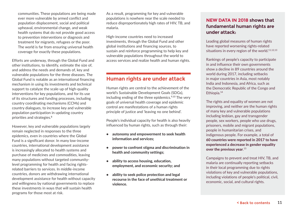communities. These populations are being made ever more vulnerable by armed conflict and population displacement, social and political upheaval, environmental change, and weak health systems that do not provide good access to prevention interventions or diagnosis and treatment for migrants, refugees or the poor. The world is far from ensuring universal health coverage for exactly these populations.

Efforts are underway, through the Global Fund and other institutions, to identify, estimate the size of, and address the needs and demands of, key and vulnerable populations for the three diseases. The Global Fund is notable as an international financing mechanism in using its investments and technical support to catalyze the scale-up of high-quality interventions for key populations, and for its use of its structures and funding processes, including country coordinating mechanisms (CCMs) and country dialogues, to increase key and vulnerable population participation in updating country priorities and strategies.8

However, key and vulnerable populations largely remain neglected in responses to the three epidemics, even in countries where the Global Fund is a significant donor. In many low-income countries, international development assistance is increasingly allocated to health systems and purchase of medicines and commodities, leaving many populations without targeted communitylevel programming for health and facing rightsrelated barriers to services. In middle-income countries, donors are withdrawing international development assistance for health without capacity and willingness by national governments to replace these investments in ways that will sustain health programs for those most at risk.

As a result, programming for key and vulnerable populations is nowhere near the scale needed to reduce disproportionately high rates of HIV, TB, and malaria.

High-income countries need to increased investments, through the Global Fund and other global institutions and financing sources, to sustain and reinforce programming to help key and vulnerable populations throughout the world to access services and realize health and human rights.

## **Human rights are under attack**

Human rights are central to the achievement of the world's Sustainable Development Goals (SDGs), including ending of the three epidemics.<sup>9,10</sup> The very goals of universal health coverage and epidemic control are manifestations of a human rights principle of justice and 'leaving no one behind'.

People's individual capacity for health is also heavily influenced by human rights, such as through their:

- autonomy and empowerment to seek health information and services;
- power to confront stigma and discrimination in health and community settings;
- ability to access housing, education, employment, and economic security; and
- ability to seek police protection and legal recourse in the face of unethical treatment or violence.

## **NEW DATA IN 2018 shows that fundamental human rights are under attack:**

Leading global measures of human rights have reported worsening rights-related situations in every region of the world.<sup>11,12,13</sup>

Rankings of people's capacity to participate in and influence their own governments show a decline in 89 countries around the world during 2017, including setbacks in major countries in Asia, most notably India and Indonesia, and Africa, such as the Democratic Republic of the Congo and Ethiopia.<sup>14</sup>

The rights and equality of women are not improving, and neither are the human rights of many key and vulnerable populations including lesbian, gay and transgender people, sex workers, people who use drugs, prisoners, mobile and migrant populations, people in humanitarian crises, and indigenous people. For example, a total of 60 countries were reported in 2017 to have experienced a decrease in gender equality over the previous year. $^{15}$ 

Campaigns to prevent and treat HIV, TB, and malaria are continually reporting setbacks in their local programming due to rights violations of key and vulnerable populations, including violations of people's political, civil, economic, social, and cultural rights.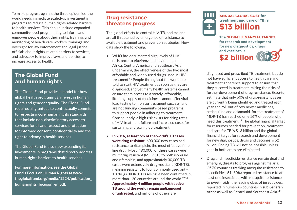To make progress against the three epidemics, the world needs immediate scaled-up investment in programs to reduce human rights-related barriers to health services. This should include expanded community-level programming to inform and empower people about their rights, trainings and monitoring of health care workers, trainings and oversight for law enforcement and legal justice officials about rights-related barriers to services, and advocacy to improve laws and policies to increase access to health.

## **The Global Fund and human rights**

The Global Fund provides a model for how global health programs can invest in human rights and gender equality. The Global Fund requires all grantees to contractually commit to respecting core human rights standards that include non-discriminatory access to services for all and respect and protection for informed consent, confidentiality and the right to privacy in health services

The Global Fund is also now expanding its investments in programs that directly address human rights barriers to health services.

For more information, see the Global Fund's Focus on Human Rights at www. theglobalfund.org/media/1224/publication\_ humanrights\_focuson\_en.pdf.

## **Drug resistance threatens progress**

The global efforts to control HIV, TB, and malaria are all threatened by emergence of resistance to available treatment and prevention strategies. New data show the following:

- WHO has documented high levels of HIV resistance to efavirenz and nevirapine in Africa, Central America and Southeast Asia, undermining the effectiveness of the two most affordable and widely used drugs used in HIV treatment.16 People throughout the world are told to start HIV treatment as soon as they are diagnosed, and yet many health systems cannot ensure them access to a steady, affordable, life-long supply of medicines; cannot offer viral load testing to monitor treatment success; and are not funding community-based programs to support people in adhering to treatment. Consequently, a high risk exists for rising rates of HIV treatment failure and increased costs for sustaining and scaling up treatment.
- In 2016, at least 5% of the world's TB cases were drug resistant: 600,000 new cases had resistance to rifampicin, the most effective firstline drug. Most (490,000) of these cases were multidrug-resistant (MDR-TB) to both isoniazid and rifampicin, and approximately 30,000 TB cases were extensively drug-resistant (XDR-TB), meaning resistant to four commonly used anti-TB drugs. XDR-TB cases have been confirmed in more than 120 countries around the world.<sup>17,18</sup> Approximately 4 million people with active TB around the world remain undiagnosed or untreated, and millions of others are



diagnosed and prescribed TB treatment, but do not have sufficient access to health care and treatment adherence support to ensure that they succeed in treatment, raising the risks of further development of drug resistance. Experts estimate that only 60% of drug-resistant cases are currently being identified and treated each year and roll-out of two newer medicines, bedaquiline and delamanid, for the treatment of MDR-TB has reached only 16% of people who need this treatment.19 The global financial target for resources needed for prevention, treatment and care for TB is \$13 billion and the global financial target for research and development for new diagnostics, drugs and vaccines is \$2 billion. Ending TB will not be possible unless gaps in both areas are eliminated.

• Drug and insecticide resistance remain dual and emerging threats to progress against malaria. Of 76 countries tracking mosquito resistance to insecticides, 61 (80%) reported resistance to at least one insecticide, with mosquito resistance to pyrethroids, the leading class of insecticides, reported in numerous countries in sub-Saharan Africa as well as Central and Southeast Asia.20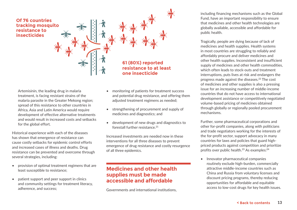

Artemisinin, the leading drug in malaria treatment, is facing resistant strains of the malaria parasite in the Greater Mekong region; spread of this resistance to other countries in Africa, Asia and Latin America would require development of effective alternative treatments and would result in increased costs and setbacks for the global effort.

Historical experience with each of the diseases has shown that emergence of resistance can cause costly setbacks for epidemic control efforts and increased cases of illness and deaths. Drug resistance can be prevented and overcome through several strategies, including:

- provision of optimal treatment regimens that are least susceptible to resistance;
- patient support and peer support in clinics and community settings for treatment literacy, adherence, and success;
- monitoring of patients for treatment success and potential drug resistance, and offering them adjusted treatment regimens as needed;
- strengthening of procurement and supply of medicines and diagnostics; and
- development of new drugs and diagnostics to forestall further resistance<sup>21</sup>

Increased investments are needed now in these interventions for all three diseases to prevent emergence of drug resistance and costly resurgence of all three epidemics.

## **Medicines and other health supplies must be made accessible and affordable**

Governments and international institutions,

including financing mechanisms such as the Global Fund, have an important responsibility to ensure that medicines and other health technologies are globally available, accessible and affordable for public health.

Tragically, people are dying because of lack of medicines and health supplies. Health systems in most countries are struggling to reliably and affordably procure and deliver medicines and other health supplies. Inconsistent and insufficient supply of medicines and other health commodities, which often leads to stock-outs and treatment interruptions, puts lives at risk and endangers the progress made against the diseases.22 The cost of medicines and other supplies is also a pressing issue for an increasing number of middle-income countries that do not have access to international development assistance or competitively negotiated volume-based pricing of medicines obtained through globally or regionally pooled procurement mechanisms.

Further, some pharmaceutical corporations and other for-profit companies, along with politicians and trade negotiators working for the interests of the for-profit sector, support advocacy in many countries for laws and policies that guard highpriced products against competition and prioritize profits over public health.<sup>23</sup> As examples:<sup>24</sup>

• Innovator pharmaceutical companies routinely exclude high-burden, commercially attractive middle-income countries such as China and Russia from voluntary licenses and discount pricing programs, thereby reducing opportunities for affordable and equitable access to low-cost drugs for key health issues.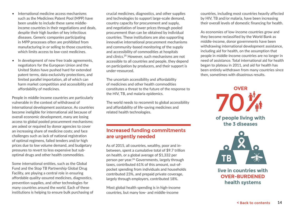- International medicine access mechanisms such as the Medicines Patent Pool (MPP) have been unable to include these same middleincome countries in their negotiations and deals, despite their high burden of key infectious diseases. Generic companies participating in MPP processes often are prohibited from manufacturing in or selling to those countries, which limits access to low-cost medicines.
- In development of new free trade agreements, negotiators for the European Union and the United States have pushed hard for extended patent terms, data exclusivity protections, and limited parallel importation, all of which can harm market competition and accessibility and affordability of medicines.

People in middle-income countries are particularly vulnerable in the context of withdrawal of international development assistance. As countries become ineligible for international aid because of overall economic development, many are losing access to global pooled procurement mechanisms; are asked or required by donor agencies to cover an increasing share of medicine costs; and face challenges such as lack of national registration of optimal regimens, failed tenders and/or high prices due to low volume demand, and budgetary pressures to revert to less expensive but suboptimal drugs and other health commodities.

Some international entities, such as the Global Fund and the Stop TB Partnership Global Drug Facility, are playing a central role in ensuring affordable quality-assured medicines, diagnostics, prevention supplies, and other technologies for many countries around the world. Each of these institutions is helping to ensure bulk purchasing of crucial medicines, diagnostics, and other supplies and technologies to support large-scale demand, country capacity for procurement and supply, and negotiation of lower prices through pooled procurement than can be obtained by individual countries. These institutions are also supporting innovative international procurement mechanisms and community-based monitoring of the supply and accessibility of commodities at hospitals and clinics.25 However, such mechanisms are not accessible to all countries and people, they depend on participation by producers, and their support is under-resourced.

The uncertain accessibility and affordability of medicines and other health commodities constitutes a threat to the future of the response to the HIV, TB, and malaria epidemics.

The world needs to recommit to global accessibility and affordability of life-saving medicines and related health technologies.

## **Increased funding commitments are urgently needed**

As of 2015, all countries, wealthy, poor and inbetween, spent a cumulative total of \$9.7 trillion on health, or a global average of \$1,332 per person per year.26 Governments, largely through taxes, contributed 61% of this amount, out-ofpocket spending from individuals and households contributed 23%, and prepaid private coverage, largely through employers, contributed 18%.

Most global health spending is in high-income countries, but many low- and middle-income

countries, including most countries heavily affected by HIV, TB and/or malaria, have been increasing their overall levels of domestic financing for health.

As economies of low-income countries grow and they become reclassified by the World Bank as middle-income, donor governments have been withdrawing international development assistance, including aid for health, on the assumption that people in middle-income countries are no longer in need of assistance. Total international aid for health began to plateau in 2011, and aid for health has been entirely withdrawn from many countries since then, sometimes with disastrous results.





**live in countries with OVER-BURDENED health systems**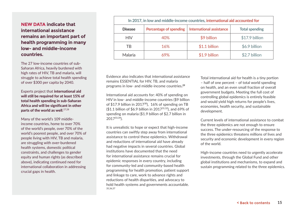## **NEW DATA indicate that international assistance remains an important part of health programming in many low- and middle-income countries.**

The 27 low-income countries of sub-Saharan Africa, heavily burdened with high rates of HIV, TB and malaria, will struggle to achieve total health spending of over \$300 per capita by 2040.

Experts project that international aid will still be required for at least 15% of total health spending in sub-Saharan Africa and will be significant in other parts of the world as well. $27,28$ 

Many of the world's 109 middleincome countries, home to over 70% of the world's people, over 70% of the world's poorest people, and over 70% of people living with HIV, TB and malaria, are struggling with over-burdened health systems, domestic political constraints, and challenges to gender equity and human rights (as described above), indicating continued need for international collaboration in addressing crucial gaps in health.

| In 2017, in low and middle-income countries, international aid accounted for |                               |                                 |                       |  |  |
|------------------------------------------------------------------------------|-------------------------------|---------------------------------|-----------------------|--|--|
| <b>Disease</b>                                                               | <b>Percentage of spending</b> | <b>International assistance</b> | <b>Total spending</b> |  |  |
| <b>HIV</b>                                                                   | 40%                           | \$9 billion                     | \$17.9 billion        |  |  |
| TB                                                                           | 16%                           | $$1.1$ billion                  | \$6.9 billion         |  |  |
| Malaria                                                                      | 69%                           | \$1.9 billion                   | \$2.7 billion         |  |  |

Evidence also indicates that international assistance remains ESSENTIAL for HIV, TB, and malaria programs in low- and middle-income countries**. 29**

International aid accounts for: 40% of spending on HIV in low- and middle-income countries (\$9 billion of  $$17.9$  billion in 2017<sup>30</sup>), 16% of spending on TB  $($1.1$  billion of \$6.9 billion in 2017<sup>31,32</sup>), and 69% of spending on malaria (\$1.9 billion of \$2.7 billion in 201733,34).

It is unrealistic to hope or expect that high-income countries can swiftly step away from international assistance to control these epidemics. Withdrawal and reductions of international aid have already had negative impacts in several countries. Global institutions have documented that the need for international assistance remains crucial for epidemic responses in every country, including for community-led and community-based health programming for health promotion, patient support and linkage to care, work to advance rights and reductions of health disparities, and advocacy to hold health systems and governments accountable. 35,36,37

Total international aid for health is a tiny portion – half of one percent – of total world spending on health, and an even small fraction of overall government budgets. Meeting the full cost of controlling global epidemics is entirely feasible and would yield high returns for people's lives, economies, health security, and sustainable development.

Current levels of international assistance to combat the three epidemics are not enough to ensure success. The under-resourcing of the response to the three epidemics threatens millions of lives and security and economic development in every region of the world.

High-income countries need to urgently accelerate investments, through the Global Fund and other global institutions and mechanisms, to expand and sustain programming related to the three epidemics.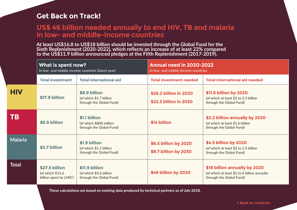## **Get Back on Track!**

## **US\$ 46 billion needed annually to end HIV, TB and malaria in low- and middle-income countries**

**At least US\$16.8 to US\$18 billion should be invested through the Global Fund for the Sixth Replenishment (2020-2022), which reflects an increase of at least 22% compared to the US\$11.9 billion announced pledges at the Fifth Replenishment (2017-2019).**

|                | What is spent now?<br>In low- and middle-income countries (latest year) |                                                                       | <b>Annual need in 2020-2022</b><br>In low- and middle-income countries |                                                                                                           |
|----------------|-------------------------------------------------------------------------|-----------------------------------------------------------------------|------------------------------------------------------------------------|-----------------------------------------------------------------------------------------------------------|
|                | <b>Total investment</b>                                                 | <b>Total international aid</b>                                        | <b>Total investment needed</b>                                         | <b>Total international aid needed</b>                                                                     |
| <b>HIV</b>     | \$17.9 billion                                                          | \$8.9 billion<br>(of which \$1.7 billion<br>through the Global Fund)  | \$26.2 billion in 2020<br>\$22.3 billion in 2030                       | \$11.6 billion by 2020<br>(of which at least \$2 to 2.5 billion<br>through the Global Fund)               |
| <b>TB</b>      | \$6.9 billion                                                           | \$1.1 billion<br>(of which \$800 million<br>through the Global Fund)  | \$14 billion                                                           | \$2.2 billion annually by 2020<br>(of which at least \$1.6 billion<br>through the Global Fund)            |
| <b>Malaria</b> | \$2.7 billion                                                           | \$1.9 billion<br>(of which \$1.1 billion<br>through the Global Fund)  | \$6.5 billion by 2020<br>\$8.7 billion by 2030                         | \$4.5 billion by 2020<br>(of which at least \$2 to 2.5 billion<br>through the Global Fund)                |
| <b>Total</b>   | \$27.5 billion<br>(of which \$15.6<br>billion spent by LMIC)            | \$11.9 billion<br>(of which \$3.6 billion<br>through the Global Fund) | \$46 billion by 2020                                                   | \$18 billion annually by 2020<br>(of which at least \$5 to 6 billion annually<br>through the Global Fund) |

**These calculations are based on existing data produced by technical partners as of July 2018.**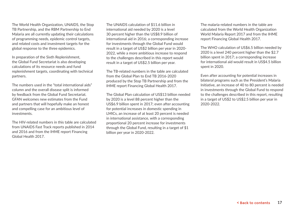The World Health Organization, UNAIDS, the Stop TB Partnership, and the RBM Partnership to End Malaria are all currently updating their calculations of programming needs, epidemic control targets, and related costs and investment targets for the global response to the three epidemics.

In preparation of the Sixth Replenishment, the Global Fund Secretariat is also developing calculations of its resource needs and fund replenishment targets, coordinating with technical partners.

The numbers used in the "total international aids" column and the overall disease split is informed by feedback from the Global Fund Secretariat. GFAN welcomes new estimates from the Fund and partners that will hopefully make an honest and compelling case for an ambitious level of investments.

The HIV-related numbers in this table are calculated from UNAIDS Fast Track reports published in 2014 and 2016 and from the IHME report Financing Global Health 2017.

The UNAIDS calculation of \$11.6 billion in international aid needed by 2020 is a level 30 percent higher than the US\$8.9 billion of international aid in 2016; a corresponding increase for investments through the Global Fund would result in a target of US\$2 billion per year in 2020- 2022, while a more ambitious increase to respond to the challenges described in this report would result in a target of US\$2.5 billion per year.

The TB-related numbers in the table are calculated from the Global Plan to End TR 2016-2020 produced by the Stop TB Partnership and from the IHME report Financing Global Health 2017.

The Global Plan calculation of US\$13 billion needed by 2020 is a level 88 percent higher than the US\$6.9 billion spent in 2017; even after accounting for potential increases in domestic spending in LMICs, an increase of at least 20 percent is needed in international assistance, with a corresponding proportional 20 percent increase for investments through the Global Fund, resulting in a target of \$1 billion per year in 2020-2022.

The malaria-related numbers in the table are calculated from the World Health Organization World Malaria Report 2017 and from the IHME report Financing Global Health 2017.

The WHO calculation of US\$6.5 billion needed by 2020 is a level 240 percent higher than the \$2.7 billion spent in 2017; a corresponding increase for international aid would result in US\$4.5 billion spent in 2020.

Even after accounting for potential increases in bilateral programs such as the President's Malaria Initiative, an increase of 40 to 80 percent is needed in investments through the Global Fund to respond to the challenges described in this report, resulting in a target of US\$2 to US\$2.5 billion per year in 2020-2022.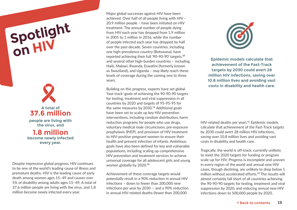# **Spotlight on HIV**



Despite impressive global progress, HIV continues to be one of the world's leading cause of illness and premature deaths. HIV is the leading cause of early death among women ages 15–49 and causes over 5% of disability among adults ages 15–49. A total of 37.6 million people are living with the virus, and 1.8 million become newly infected every year.

Major global successes against HIV have been achieved. Over half of all people living with HIV – 20.9 million people – have been initiated on HIV treatment. The annual number of people dying from HIV each year has dropped from 1.9 million in 2005 to 1 million in 2016, while the number of people infected each year has dropped by half over the past decade. Seven countries, including one high-prevalence country (Botswana), have reported achieving their full '90-90-90' targets, 38 and several other high-burden countries – including Haiti, Malawi, Rwanda, Eswatini (formerly known as Swaziland), and Uganda – may likely reach these levels of coverage during the coming one to three years.

Building on this progress, experts have set global 'fast-track' goals of achieving the 90-90-90 targets for testing, treatment and viral suppression in all countries by 2020 and targets of 95-95-95 for the same measures by 2030.<sup>39</sup> Additional goals have been set to scale up key HIV prevention interventions, including condom distribution, harm reduction programs for people who use drugs, voluntary medical male circumcision, pre-exposure prophylaxis (PrEP), and provision of HIV treatment to HIV-positive pregnant women to ensure their health and prevent infection of infants. Ambitious goals have also been defined for key and vulnerable populations, including scaling up comprehensive HIV prevention and treatment services to achieve universal coverage for all adolescent girls and young women globally by 2020.40

Achievement of these coverage targets would potentially result in a 90% reduction in annual HIV infections – down to fewer than 200,000 new infections per year by 2030 -- and a 90% reduction in annual HIV-related deaths (fewer than 200,000



**Epidemic models calculate that achievement of the Fast-Track targets by 2030 could avert 28 million HIV infections, saving over 10.8 million lives and avoiding vast costs in disability and health care.**

HIV-related deaths per year).<sup>41</sup> Epidemic models calculate that achievement of the Fast-Track targets by 2030 could avert 28 million HIV infections, saving over 10.8 million lives and avoiding vast costs in disability and health care.

Tragically, the world is off-track, currently unlikely to meet the 2020 targets for funding or program scale-up for HIV. Progress is incomplete and uneven in every region of the world and annual new HIV cases, though declining, are unlikely to drop below 1 million without accelerated efforts.<sup>42</sup> The results will almost certainly fall short of all countries achieving the 90-90-90 targets for testing, treatment and viral suppression by 2020, and reducing annual new HIV infections down to 500,000 people by 2020.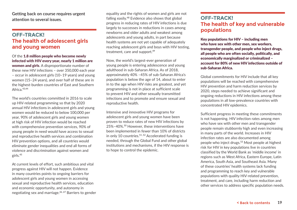**Getting back on course requires urgent attention to several issues.** 

## **OFF-TRACK! The health of adolescent girls and young women**

#### Of the 1.8 million people who become newly infected with HIV every year, nearly 1 million are

women and girls. A disproportionate number of these new HIV infections – over 350,000 each year – occur in adolescent girls (10–19 years) and young women (15–24 years), and over half of these are in the highest-burden countries of East and Southern Africa. 43,44

The world's countries committed in 2016 to scale up HIV-related programming so that by 2020 annual HIV infections in adolescent girls and young women would be reduced to below 100,000 per year, 90% of adolescent girls and young women at high risk of HIV infection would be reached with comprehensive prevention services, 90% of young people in need would have access to sexual and reproductive health services and combination HIV prevention options, and all countries would eliminate gender inequalities and end all forms of violence and discrimination against women and girls.45

At current levels of effort, such ambitious and vital progress against HIV will not happen. Evidence in many countries points to ongoing barriers for adolescent girls and young women in accessing sexual and reproductive health services, education and economic opportunity, and autonomy in negotiating sex and marriage.46 ,47 Barriers to gender equality and the rights of women and girls are not falling easily.48 Evidence also shows that global progress in reducing rates of HIV infections is due largely to successes in reductions in cases among newborns and older adults and weakest among adolescents and young adults, in part because health systems are not yet capable of adequately reaching adolescent girls and boys with HIV testing, treatment, care and support.49

Now, the world's largest-ever generation of young people is entering adolescence and young adulthood in sub-Saharan Africa. As of 2018, approximately 40% –45% of sub-Saharan Africa's population is below the age of 14, about to enter in to the age when HIV risks are greatest, and yet programming is not in place at sufficient scale to prevent HIV and other sexually transmitted infections and to promote and ensure sexual and reproductive health.

Intensive and innovative HIV programs for adolescent girls and young women have been proven to reduce rates of new HIV infections by 25%–40%.50 However, these interventions have been implemented in fewer than 10% of districts in only 10 countries.<sup>51,52</sup> Accelerated funding is needed, through the Global Fund and other global institutions and mechanisms, if the HIV response is to hope to control the epidemic.

## **OFF-TRACK! The health of key and vulnerable populations**

Key populations for HIV – including men who have sex with other men, sex workers, transgender people, and people who inject drugs, all people who are often socially, politically, and economically marginalized or criminalized – account for 80% of new HIV infections outside of sub-Saharan Africa.

Global commitments for HIV include that all key populations will be reached with comprehensive HIV prevention and harm reduction services by 2020, steps needed to achieve significant and ongoing reductions in HIV infections among these populations in all low-prevalence countries with concentrated HIV epidemics.

Sufficient progress in meeting these commitments is not happening. HIV infection rates among men who have sex with other men and transgender people remain stubbornly high and even increasing in many parts of the world. Increases in HIV infection rates are also documented among people who inject drugs.53 Most people at highest risk for HIV in key populations live in countries classified by the World Bank as 'middle income' in regions such as West Africa, Eastern Europe, Latin America, South Asia, and Southeast Asia. Many of these countries' health systems lack funding and programming to reach key and vulnerable populations with quality HIV-related prevention, treatment, and care, including harm reduction and other services to address specific population needs.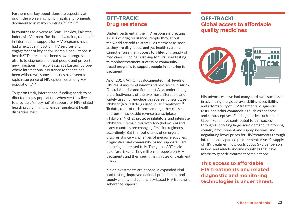Furthermore, key populations are especially at risk in the worsening human rights environments documented in many countries.54,55,56,57,58

In countries as diverse as Brazil, Mexico, Pakistan, Indonesia, Vietnam, Russia, and Ukraine, reductions in international support for HIV programs have had a negative impact on HIV services and engagement of key and vulnerable populations in health.59 The result has been slower progress in efforts to diagnose and treat people and prevent new infections. In regions such as Eastern Europe, where international assistance for health has been withdrawn, some countries have seen a rapid resurgence of HIV epidemics among key populations.60,61

To get on track, international funding needs to be directed to key populations wherever they live and to provide a 'safety net' of support for HIV-related health programming wherever significant health disparities exist.

## **OFF-TRACK! Drug resistance**

Underinvestment in the HIV response is creating a crisis of drug resistance. People throughout the world are told to start HIV treatment as soon as they are diagnosed, and yet health systems cannot ensure them access to a life-long supply of medicines. Funding is lacking for viral load testing to monitor treatment success or communitybased programs to support people in adhering to treatment.

As of 2017, WHO has documented high levels of HIV resistance to efavirenz and nevirapine in Africa, Central America and Southeast Asia, undermining the effectiveness of the two most affordable and widely used non-nucleoside reverse transcriptase inhibitor (NNRTI) drugs used in HIV treatment.<sup>62</sup> To date, rates of resistance among other classes of drugs – nucleoside reverse transcriptase inhibitors (NRTIs), protease inhibitors, and integrase inhibitors – remain relatively low (below 5%) and many countries are changing first-line regimens accordingly. But the root causes of emergent drug resistance – challenges of medicine supplies, diagnostics, and community-based supports – are not being addressed fully. The global ART scaleup effort risks starting millions of people on HIV treatments and then seeing rising rates of treatment failure.

Major investments are needed in expanded viral load testing, improved national procurement and supply chains, and community-based HIV treatment adherence support.

## **OFF-TRACK! Global access to affordable quality medicines**



HIV advocates have had many hard-won successes in advancing the global availability, accessibility, and affordability of HIV treatments, diagnostic tests, and other commodities such as condoms and contraceptives. Funding entities such as the Global Fund have contributed to this success through supporting large-scale demand, reinforcing country procurement and supply systems, and negotiating lower prices for HIV treatments through internationally pooled procurement. A year's supply of HIV treatment now costs about \$75 per person in low- and middle-income countries that have access to generic treatment combinations.

**This access to affordable HIV treatments and related diagnostic and monitoring technologies is under threat.**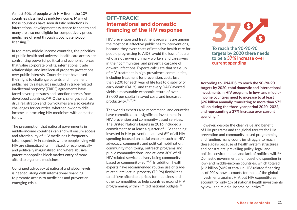Almost 60% of people with HIV live in the 109 countries classified as middle-income. Many of these countries have seen drastic reductions in international development assistance for health and many are also not eligible for competitively priced medicines offered through global patent-pool licensing.<sup>63</sup>

In too many middle-income countries, the priorities of public health and universal health care access are confronting powerful political and economic forces that value corporate profits, international trade relationships, and intellectual property protections over public interests. Countries that have used their right to challenge patents and implement public health safeguards included in trade-related intellectual property (TRIPS) agreements have faced severe pressures and sanction threats from developed countries.<sup>64,65</sup> Other challenges such as drug registration and low volumes are also creating challenges for countries, whether low or middle income, in procuring HIV medicines with domestic funds.

The presumption that national governments in middle-income countries can and will ensure access and affordability of HIV medicines is frequently false, especially in contexts where people living with HIV are stigmatized, criminalized, or economically and politically marginalized and where abusive patent monopolies block market entry of more affordable generic medicines.

Continued advocacy at national and global levels is needed, along with international financing, to promote access to medicines and prevent an emerging crisis.

## **OFF-TRACK! International and domestic financing of the HIV response**

HIV prevention and treatment programs are among the most cost-effective public health interventions, because they avert costs of intensive health care for people progressing to AIDS, avoid the loss of adults who are otherwise primary workers and caregivers in their communities, and prevent a cascade of onward infections. Experts calculate that scale-up of HIV treatment in high-prevalence communities, including treatment for prevention, costs less than \$200 for each year of life lost to disability or early death (DALY), and that every DALY averted yields a measurable economic return of over \$3,000 per capita in saved costs and increased productivity.<sup>66,67,68</sup>

The world's experts also recommend, and countries have committed to, a significant investment in HIV prevention and community-based services. The United Nations targets in 2016 included a commitment to at least a quarter of HIV spending invested in HIV prevention; at least 6% of all HIV spending focused on social enablers such as HIV advocacy, community and political mobilization, community monitoring, outreach programs and public communications; and at least 30% of all HIV-related service delivery being communitybased or community-led.69,70 In addition, health experts have recommended routine use of traderelated intellectual property (TRIPS) flexibilities to achieve affordable prices for medicines and other commodities to help countries expand HIV programming within limited national budgets.71



**To reach the 90-90-90 targets by 2020 there needs to be a 37% increase over current spending**

**According to UNAIDS, to reach the 90-90-90 targets by 2020, total domestic and international investments in HIV programs in low- and middleincome countries need to increase to at least \$26 billion annually, translating to more than \$75 billion during the three-year period 2020–2022, and representing a 37% increase over current spending.72**

However, despite the clear value and benefit of HIV programs and the global targets for HIV prevention and community-based programming and funding, many countries struggle to reach these goals because of health system structures and constraints; prevailing policy, legal, and political environments; and lack of political will.73,74 Domestic government and household spending in low- and middle-income countries, which totaled \$12 billion (60% of total) in HIV-related financing as of 2016, now accounts for most of the global investments against HIV, but HIV expenditures account for only 1% of national health investments by low- and middle-income countries.<sup>75</sup>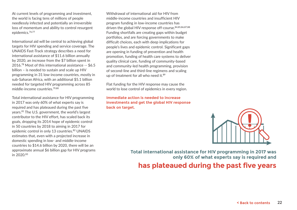At current levels of programming and investment, the world is facing tens of millions of people needlessly infected and potentially an irreversible loss of momentum and ability to control resurgent epidemics.76,77

International aid will be central to achieving global targets for HIV spending and service coverage. The UNAIDS Fast-Track strategy describes a need for international assistance of \$11.6 billion annually by 2020, an increase from the \$7 billion spent in 2016.78 Most of this international assistance -- \$6.5 billion – is needed to sustain and scale up HIV programming in 31 low-income countries, mostly in sub-Saharan Africa, with an additional \$5.1 billion needed for targeted HIV programming across 85 middle-income countries.79,80

Total international assistance for HIV programming in 2017 was only 60% of what experts say is required and has plateaued during the past five years.81 The U.S. government, the world's largest contributor to the HIV effort, has scaled back its goals, dropping its 2014 hope of epidemic control in 50 countries by 2018 to aiming in 2017 for epidemic control in only 13 countries.<sup>82</sup> UNAIDS estimates that, even with a projected increase in domestic spending in low- and middle-income countries to \$14.6 billion by 2020, there will be an approximate annual \$6 billion gap for HIV programs

Withdrawal of international aid for HIV from middle-income countries and insufficient HIV program funding in low-income countries has driven the global HIV response off-course.<sup>84,85,86,87,88</sup> Funding shortfalls are creating gaps within budget portfolios, and are forcing governments to make difficult choices, each with deep implications for people's lives and epidemic control. Significant gaps are opening in funding of prevention and health promotion, funding of health care systems to deliver quality clinical care, funding of community-based and community-led health programming, provision of second-line and third-line regimens and scaling up of treatment for all who need it.<sup>89</sup>

Flat funding for the HIV response may cause the world to lose control of epidemics in every region.

**Immediate action is needed to increase investments and get the global HIV response back on target.**



approximate annual \$6 billion gap for HIV programs<br>in 2020.<sup>83</sup><br>1 **only 60% of what experts say is required and**

## **has plateaued during the past five years**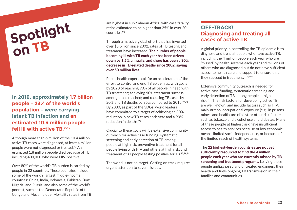# **Spotlight on TB**

**In 2016, approximately 1.7 billion people – 23% of the world's population – were carrying latent TB infection and an estimated 10.4 million people fell ill with active TB.90,91**

Although more than 6 million of the 10.4 million active TB cases were diagnosed, at least 4 million people were not diagnosed or treated.92 An estimated 1.8 million people died because of TB, including 400,000 who were HIV-positive.

Over 80% of the world's TB burden is carried by people in 22 countries. These countries include some of the world's largest middle-income countries: China, India, Indonesia, Pakistan, Brazil, Nigeria, and Russia, and also some of the world's poorest, such as the Democratic Republic of the Congo and Mozambique. Mortality rates from TB

are highest in sub-Saharan Africa, with case fatality ratios estimated to be higher than 25% in over 20 countries.93

Through a massive global effort that has invested over \$5 billion since 2002, rates of TB testing and treatment have increased. The number of people becoming ill with TB each year has been driven down by 1.5% annually, and there has been a 30% decrease in TB-related deaths since 2002, saving over 50 million lives.

Public health experts call for an acceleration of the effort to control and end TB epidemics, with goals by 2020 of reaching 90% of all people in need with TB treatment; achieving 90% treatment success among those reached; and reducing TB cases by 20% and TB deaths by 35% compared to 2015.94,95 By 2030, as part of the SDGs, world leaders have committed to a target of achieving an 80% reduction in new TB cases each year and a 90% reduction in deaths.96

Crucial to these goals will be extensive community outreach for active case funding, systematic screening and early detection of TB among people at high risk, preventive treatment for all people living with HIV and others at high risk, and treatment of all people testing positive for TB.97,98,99

The world is not on target. Getting on track requires urgent attention to several issues.

## **OFF-TRACK! Diagnosing and treating all cases of active TB**

A global priority in controlling the TB epidemic is to diagnose and treat all people who have active TB, including the 4 million people each year who are 'missed' by health systems each year and millions of others who are diagnosed but do not have sufficient access to health care and support to ensure that they succeed in treatment. 100,101,102

Extensive community outreach is needed for active case funding, systematic screening and early detection of TB among people at high risk.103 The risk factors for developing active TB are well known, and include factors such as HIV, malnutrition, occupational exposure (e.g., in prisons, mines, and healthcare clinics), or other risk factors such as tobacco and alcohol use and diabetes. Many of these people at highest risk have insufficient access to health services because of low economic means, limited social independence, or because of the limited reach of health systems.

The 22 highest-burden countries are not yet sufficiently resourced to find the 4 million people each year who are currently missed by TB screening and treatment programs. Leaving these people undiagnosed and untreated endangers their health and fuels ongoing TB transmission in their families and communities.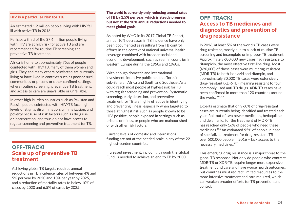#### **HIV is a particular risk for TB:**

An estimated 1.2 million people living with HIV fell ill with active TB in 2016.

Perhaps a third of the 37.6 million people living with HIV are at high risk for active TB and are recommended for routine TB screening and preventive TB treatment.

Africa is home to approximately 75% of people coinfected with HIV/TB, many of them women and girls. They and many others coinfected are currently living or have lived in contexts such as poor or rural communities or prisons or other confined settings, where routine screening, preventive TB treatment, and access to care are unavailable or unreliable.

In other high-burden countries such as Pakistan and Russia, people coinfected with HIV/TB face high levels of stigma, discrimination, criminalization, and poverty because of risk factors such as drug use or incarceration, and thus do not have access to regular screening and preventive treatment for TB.

## **OFF-TRACK! Scale up of preventive TB treatment**

Achieving global TB targets requires annual reductions in TB incidence rates of between 4% and 5% per year by 2020 and 10% per year by 2025, and a reduction of mortality rates to below 10% of cases by 2020 and 6.5% of cases by 2025.

#### The world is currently only reducing annual rates of TB by 1.5% per year, which is steady progress but not at the 10% annual reductions needed to meet global goals.

As noted by WHO in its 2017 Global TB Report, annual 10% decreases in TB incidence have only been documented as resulting from TB control efforts in the context of national universal health coverage combined with broader social and economic development, such as seen in countries in western Europe during the 1950s and 1960s.

With enough domestic and international investment, intensive public health efforts in sub-Saharan Africa and South and Southeast Asia could reach most people at highest risk for TB with regular screening and prevention. Systematic screening, early detection, and preventive treatment for TB are highly effective in identifying and preventing illness, especially when targeted to those at highest risk such as people known to be HIV-positive, people exposed in settings such as prisons or mines, or people who are malnourished or with other risk factors.

Current levels of domestic and international funding are not at the needed scale in any of the 22 highest-burden countries.

Increased investment, including through the Global Fund, is needed to achieve an end to TB by 2030.

## **OFF-TRACK! Access to TB medicines and diagnostics and prevention of drug resistance**

In 2016, at least 5% of the world's TB cases were drug resistant, mostly due to a lack of routine TB screening and incomplete or improper TB treatment. Approximately 600,000 new cases had resistance to rifampicin, the most effective first-line drug. Most (490,000) of those cases were multidrug-resistant (MDR-TB) to both isoniazid and rifampin, and approximately 30,000 TB cases were extensively drug-resistant (XDR-TB), meaning resistant to four commonly used anti-TB drugs. XDR-TB cases have been confirmed in more than 120 countries around the world.<sup>104,105</sup>

Experts estimate that only 60% of drug-resistant cases are currently being identified and treated each year. Roll-out of two newer medicines, bedaquiline and delamanid, for the treatment of MDR-TB has reached only 16% of people who need these medicines.106 An estimated 95% of people in need of specialized treatment for drug-resistant TB – over 500,000 people in 2016 – lack access to the necessary medicines.107

This emerging drug resistance is a major threat to the global TB response. Not only do people who contract MDR-TB or XDR-TB require longer more expensive treatment and care and have worse health outcomes, but countries must redirect limited resources to the more intensive treatment and care required, which can weaken broader efforts for TB prevention and control.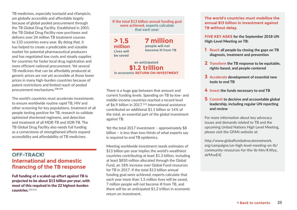TB medicines, especially isoniazid and rifampicin, are globally accessible and affordable largely because of global pooled procurement through the TB Global Drug Facility. Established in 2001, the TB Global Drug Facility now purchases and delivers over 24 million TB treatment courses to 133 countries every year. By doing that, it has helped to create a predictable and sizeable market for potential pharmaceutical producers and has negotiated low costs and steady supplies for countries for faster local drug registration and more efficient national procurement. Yet several TB medicines that can be affordably produced at generic prices are not yet accessible at those lower prices in many high-burden countries because of patent restrictions and limited reach of pooled procurement mechanisms.108,109

The world's countries must accelerate investments to ensure worldwide routine rapid TB, HIV and other screening for key populations, treatment of all people testing positive for TB, research to validate optimized shortened regimens, and detection and treatment of all MDR-TB and XDR-TB. The TB Global Drug Facility also needs full funding as a cornerstone of strengthened efforts expand accessibility and affordability of TB medicines.

## **OFF-TRACK! International and domestic financing of the TB response**

Full funding of a scaled-up effort against TB is projected to be about \$13 billion per year, with most of this required in the 22 highest-burden countries.110,111

**If the total \$13 billion annual funding goal were achieved, experts calculate that each year:**

**million 7 million people will not become ill from TB**

**> 1.5**

**Lives will be saved**

**an anticipated \$1.2 trillion in economic RETURN ON INVESTMENT**

There is a huge gap between that amount and current funding levels. Spending on TB by low- and middle-income countries reached a record level of \$6.9 billion in 2017.112 International assistance contributed an additional \$1.1 billion or 14% of the total, an essential part of the global investment against TB.

Yet the total 2017 investment - approximately \$8 billion – is less than two-thirds of what experts say is required to end TB epidemics.

Meeting worldwide investment needs estimates of \$13 billion per year implies the world's wealthiest countries contributing at least \$1.3 billion, including at least \$850 million allocated through the Global Fund, an 18% increase over Global Fund resources for TB in 2017. If the total \$13 billion annual funding goal were achieved, experts calculate that each year more than 1.5 million lives will be saved, 7 million people will not become ill from TB, and there will be an anticipated \$1.2 trillion in economic return on investment.

**The world's countries must mobilize the annual \$13 billion in investment against TB without delay.** 

**FIVE KEY ASKS for the September 2018 UN High-Level Meeting on TB:**

- **1 Reach all people by closing the gaps on TB diagnosis, treatment and prevention**
- **2 Transform the TB response to be equitable, rights-based, and people-centered**
- **3 Accelerate development of essential new tools to end TB**
- **4 Invest the funds necessary to end TB**
- **5 Commit to decisive and accountable global leadership, including regular UN reporting and review**

For more information about key advocacy issues and demands related to TB and the upcoming United Nations High Level Meeting, please visit the GFAN website at:

http://www.globalfundadvocatesnetwork. org/campaigns/un-high-level-meeting-on-tb/ community-resources-for-the-tb-hlm/#.Wya\_ aVMvxE4]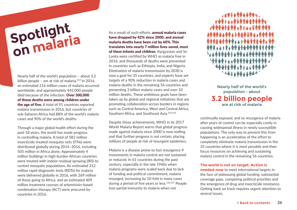# **Spotlight on malaria**

Nearly half of the world's population – about 3.2 billion people – are at risk of malaria.<sup>113</sup> In 2016, an estimated 216 million cases of malaria occurred worldwide, and approximately 445,000 people died because of the infection. Over 300,000 of those deaths were among children under the age of five. A total of 91 countries reported malaria transmission in 2016, but countries of sub-Saharan Africa had 88% of the world's malaria cases and 90% of the world's deaths.

Through a major global health effort during the past 18 years, the world has made progress in controlling malaria. A total of 582 million insecticide-treated mosquito nets (ITNs) were distributed globally during 2014–2016, including 505 million in Africa alone. Approximately 4 million buildings in high-burden African countries were treated with indoor residual spraying (IRS) to control mosquito populations. An estimated 312 million rapid diagnostic tests (RDTs) for malaria were delivered globally in 2016, with 269 million of these going to Africa, and an estimated 409 million treatment courses of artemisinin-based combination therapy (ACT) were procured by countries in 2016.

As a result of such efforts, annual malaria cases have dropped by 42% since 2000, and annual malaria deaths have been cut by 60%. This translates into nearly 7 million lives saved, most of them infants and children. Kyrgyzstan and Sri Lanka were certified by WHO as malaria free in 2016, and thousands of deaths were prevented in countries such as Ethiopia, India, and Nigeria. Elimination of malaria transmission by 2030 is now a goal for 35 countries, and experts have set targets of a 90% reduction in malaria cases and malaria deaths in the remaining 56 countries and preventing 3 billion malaria cases and over 10 million deaths. These ambitious goals have been taken up by global and regional initiatives that are promoting collaboration across borders in regions such as Central America, West and Central Africa, Southern Africa, and Southeast Asia.114,115

Despite these achievements, WHO in its 2017 World Malaria Report warns that global progress made against malaria since 2000 is now stalling and that further progress is not certain, placing millions of people at risk of resurgent epidemics.

Malaria is a disease prone to fast resurgence if investments in malaria control are not sustained or reduced. In 61 countries during the past century, especially in the late 1960s when malaria programs were scaled back due to lack of funding and political commitment, malaria resurged, increasing by 10-fold in many cases during a period of five years or less.116,117 People lose partial immunity to malaria when not



**Nearly half of the world's population - about 3.2 billion people are at risk of malaria**

continually exposed, and so resurgence of malaria after years of control can be especially costly in causing widespread illness in newly susceptible populations. The only way to prevent this from happening is an acceleration of the effort to completely eliminate malaria transmission in the 35 countries where it is most possible and then focus resources on achieving and sustaining malaria control in the remaining 56 countries.

**The world is not on target. Action is needed now** to meet international targets in the face of plateauing global funding, substantial coverage gaps, competing political priorities and the emergence of drug and insecticide resistance. Getting back on track requires urgent attention to several issues.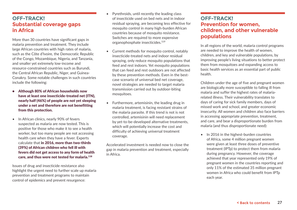## **OFF-TRACK! Substantial coverage gaps in Africa**

More than 30 countries have significant gaps in malaria prevention and treatment. They include large African countries with high rates of malaria, such as the Côte d'Ivoire, the Democratic Republic of the Congo, Mozambique, Nigeria, and Tanzania, and smaller yet extremely low-income and resource-constrained countries such as Burundi, the Central African Republic, Niger, and Guinea-Conakry. Some notable challenges in such countries include the following:

- Although 80% of African households now have at least one insecticide-treated net (ITN), nearly half (46%) of people are not yet sleeping under a net and therefore are not benefitting from this protection.
- In African clinics, nearly 90% of fevers suspected as malaria are now tested. This is positive for those who make it to see a health worker, but too many people are not accessing health care when they have a fever. Experts calculate that in 2016, more than two-thirds (39%) of African children who fell ill with fevers did not get access to any form of health care, and thus were not tested for malaria.118

Issues of drug and insecticide resistance also highlight the urgent need to further scale up malaria prevention and treatment programs to maintain control of epidemics and prevent resurgence:

- Pyrethroids, until recently the leading class of insecticide used on bed nets and in indoor residual spraying, are becoming less effective for mosquito control in many high-burden African countries because of mosquito resistance. Switches are required to more expensive organophosphate insecticides.119
- Current methods for mosquito control, notably insecticide-treated nets and indoor residual spraying, only reduce mosquito populations that feed and rest indoors. Yet mosquito populations that can feed and rest outdoors are not affected by these prevention methods. Even in the bestcase scenario of universal bed net coverage, novel strategies are needed to target malaria transmission carried out by outdoor-biting mosquitoes.
- Furthermore, artemisinin, the leading drug in malaria treatment, is facing resistant strains of the malaria parasite. If this trend is not is not controlled, artemisinin will need replacement by yet-to-be-developed alternative treatments, which will potentially increase the cost and difficulty of achieving universal treatment coverage.

Accelerated investment is needed now to close the gap in malaria prevention and treatment, especially in Africa.

## **OFF-TRACK! Prevention for women, children, and other vulnerable populations**

In all regions of the world, malaria control programs are needed to improve the health of women, children, and key and vulnerable populations, by improving people's living situations to better protect them from mosquitoes and expanding access to basic health services as an essential part of public health.

Children under the age of five and pregnant women are biologically more susceptible to falling ill from malaria and suffer the highest rates of malariarelated illness. Their vulnerability translates to days of caring for sick family members, days of missed work and school, and greater economic insecurity. All women and children also face barriers in accessing appropriate prevention, treatment, and care, and bear a disproportionate burden from malaria (and thus disproportionate need):

• In 2016 in the highest-burden countries of Africa, some 4 million pregnant women were given at least three doses of preventive treatment (IPTp) to protect them from malaria during pregnancy. However, the coverage achieved that year represented only 19% of pregnant women in the countries reporting and only 11% of the estimated 35 million pregnant women in Africa who could benefit from IPTp each year.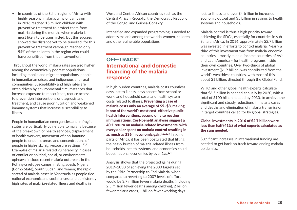• In countries of the Sahel region of Africa with highly seasonal malaria, a major campaign in 2016 reached 15 million children with preventive treatment to protect them from malaria during the months when malaria is most likely to be transmitted. But this success showed the distance yet to be travelled, for this preventive treatment campaign reached only 54% of the children in the region who could have benefitted from that intervention.

Throughout the world, malaria rates are also higher among the economically poorest populations, including mobile and migrant populations, people in humanitarian crises, and indigenous and rural communities. Susceptibility and high rates are often driven by environmental circumstances that increase exposure to mosquitoes, reduce access to prevention interventions or diagnosis and treatment, and cause poor nutrition and weakened immune systems that increase susceptibility to illness.

People in humanitarian emergencies and in fragile states are particularly vulnerable to malaria because of the breakdown of health services, displacement of health workers, movement of non-immune people to endemic areas, and concentrations of people in high-risk, high-exposure settings.120,121 Examples of malaria-related vulnerability in cases of conflict or political, social, or environmental upheaval include recent malaria outbreaks in the Rohingya refugee camps in Bangladesh, Nigeria (Borno State), South Sudan, and Yemen; the rapid spread of malaria cases in Venezuela as people flee national economic and social crises; and persistently high rates of malaria-related illness and deaths in

West and Central African countries such as the Central African Republic, the Democratic Republic of the Congo, and Guinea-Conakry.

Intensified and expanded programming is needed to address malaria among the world's women, children, and other vulnerable populations.

## **OFF-TRACK! International and domestic financing of the malaria response**

In high-burden countries, malaria costs countless days lost to illness, days absent from school or work, and household costs and health system costs related to illness. Preventing a case of malaria costs only an average of \$5–\$8, making it one of the world's most cost-effective public health interventions, second only to routine immunizations. Cost-benefit analyses suggest a 40:1 return on malaria-related investments, with every dollar spent on malaria control resulting in as much as \$36 in economic gain. $122,123$  In some parts of Africa, it has been postulated that lifting the heavy burden of malaria-related illness from households, health systems, and economies could boost national economies by over 1%.124

Analysis shows that the projected gains during 2019–2030 of achieving the 2030 targets set by the RBM Partnership to End Malaria, when compared to reverting to 2007 levels of effort, would be 3.7 million fewer malaria deaths (including 2.5 million fewer deaths among children), 2 billion fewer malaria cases, 1 billion fewer working days

lost to illness, and over \$4 trillion in increased economic output and \$5 billion in savings to health systems and households.

Malaria control is thus a high priority toward achieving the SDGs, especially for countries in sub-Saharan Africa. In 2016, approximately \$2.7 billion was invested in efforts to control malaria. Nearly a third of this investment was from malaria-endemic countries – mostly middle-income countries of Asia and Latin America – for health programs inside their own countries. Over two-thirds of global investment (\$1.9 billion) was contributed from the world's wealthiest countries, with most of this, about \$1 billion, directed through the Global Fund.

WHO and other global health experts calculate that \$6.5 billion is needed annually by 2020, with a total of \$100 billion needed by 2030, to achieve the significant and steady reductions in malaria cases and deaths and elimination of malaria transmission in target countries called for by global strategies.

#### Global investments in 2016 of \$2.7 billion were less than half (41%) of what experts calculated as the sum needed.

Significant increases in international funding are needed to get back on track toward ending malaria epidemics.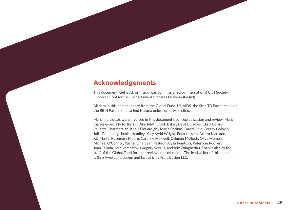## **Acknowledgements**

This document, Get Back on Track, was commissioned by International Civil Society Support (ICSS) for the Global Fund Advocates Network (GFAN).

All data in this document are from the Global Fund, UNAIDS, the Stop TB Partnership, or the RBM Partnership to End Malaria unless otherwise cited.

Many individuals were involved in this document's conceptualization and review. Many thanks especially to: Kerstin Akerfeldt, Brook Baker, Dave Burrows, Chris Collins, Revanta Dharmarajah, Khalil Elouardighi, María Encinas, David Gold, Sergey Golovin, Julia Greenberg, Jamila Headley, Katy Kydd Wright, Erica Lessem, Arturo Marcano, RD Marte, Rosemary Mburu, Caroline Maxwell, Othman Mellouk, Olive Mumba, Michael O'Connor, Rachel Ong, Jean Pasteur, Alysa Remtulla, Peter van Rooijen, Joan Tallada, Ivan Varentsov, Gregory Vergus, and Alix Zuinghedau. Thanks also to the staff of the Global Fund for their review and comments. The lead writer of this document is Sam Avrett and design and layout is by Fruit Design LLC.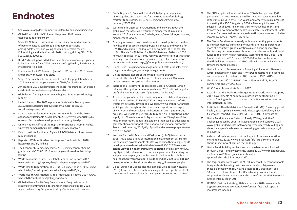## **Endnotes**

- 1 See www.un.org/development/desa/family/ and www.unicef.org
- 2 Global Fund. HER: HIV Epidemic Response. 2018. www. theglobalfund.org/en/her/
- 3 Snow KJ, Nelson LJ, Sismanidis C, et al. Incidence and prevalence of bacteriologically confirmed pulmonary tuberculosis among adolescents and young adults: a systematic review. Epidemiology and Infection 1–8. 2018. https://doi.org/10.1017/ S0950268818000821
- 4 RBM Partnership to End Malaria. Investing in malaria in pregnancy in Sub-Saharan Africa. 2014. www.unicef.org/health/files/Malaria\_ infographic\_final.pdf
- 5 Foundation for AIDS Research (amfAR). HIV statistics. 2018. www. amfar.org/worldwide-aids-stats/
- 6 Stop TB Partnership. Leave no one behind: Key population briefs. 2016. www.stoptb.org/news/stories/2016/ns16\_018.asp
- 7 AfricaCheck. 2016. https://africacheck.org/reports/does-an-africanchild-die-from-malaria-every-30-seconds/
- 8 Global Fund funding model. www.theglobalfund.org/en/fundingmodel/
- 9 United Nations. The 2030 Agenda for Sustainable Development. 2015. https://sustainabledevelopment.un.org/post2015/ transformingourworld
- 10 Danish Institute for Human Rights. Human rights and the 2030 agenda for sustainable development. 2018. www.humanrights.dk/ our-work/sustainable-development/human-rights-sdgs
- 11 United Nations Office of the High Commissioner of Human Rights. Universal human rights index. 2018. uhri.ohchr.org/en
- 12 Danish Institute for Human Rights. UPR-SDG data explorer. www. humanrights.dk
- 13 Reporters Without Borders. World press freedom index. 2018. https://rsf.org/en/ranking
- 14 The Economist. Democracy Index. 2018. www.economist.com/ graphic-detail/2018/01/31/democracy-continues-its-disturbingretreat
- 15 World Economic Forum. The Global Gender Gap Report. 2017. www.weforum.org/reports/the-global-gender-gap-report-2017
- 16 World Health Organization. HIV Drug Resistance Report. 2017. www. who.int/hiv/pub/drugresistance/hivdr-report-2017/en/
- 17 World Health Organization. Global Tuberculosis Report. 2017. www. who.int/tb/publications/global\_report/en/
- 18 Global Alliance for TB Drug Development. Drug resistance: A response to antimicrobial resistance includes tackling TB. 2018. www.tballiance.org/why-new-tb-drugs/antimicrobial-resistance
- 19 Cox V, Brigden G, Crespo RH, et al. Global programmatic use of Bedaquiline and Delamanid for the treatment of multidrugresistant tuberculosis. IJTLD. 2018. www.ncbi.nlm.nih.gov/ pubmed/29562988
- 20 World Health Organization. Questions and answers about the global plan for insecticide resistance management in malaria vectors. 2016. www.who.int/malaria/media/insecticide\_resistance\_ management\_qa/en/
- 21 Funding for research and development to develop, test and roll out new health produces including drugs, diagnostics and vaccine for HIV, TB and malaria is inadequate. For example, The Global Plan to End TB calls for \$9 billion for TB R&D between 2016 and 2020; however, TB research currently receives only one-third of this target annually—and the majority is provided by just five funders. For more information, see http://gfinder.policycuresresearch.org/
- 22 Global Fund. Sourcing and management of health products. www. theglobalfund.org/en/sourcing-management/
- 23 United Nations. Report of the United Nations Secretary-General's High-Level Panel on access to medicines. 2016. www. unsgaccessmeds.org/reports-documents
- 24 International Treatment Preparedness Coalition. Global summit refocuses the fight for access to medicines. 2018. http://itpcglobal. org/global-summit-refocuses-fight-access-medicines/
- 25 As one example of effective monitoring of accessibility of medicines and health services, in Russia, ITPCru, a regional network of HIV treatment activists, developed a website, www.pereboi.ru, through which people throughout the country can report on shortages of HIV, HCV and tuberculosis medications. In 2017, patients and providers were able to use this site to report 509 disruptions in the supply of HIV medicines and diagnostics across 45 regions of the Russian Federation, generating evidence then used by advocates to gain attention and support from national and regional authorities. See http://itpcru.org/2018/04/18/analiz-zakupok-arv-preparatov-vrf-v-2017-godu/
- 26 Institute for Health Metrics and Evaluation (IHME) data accessed 2018. IHME calculations of international development assistance for health are downloadable at: http://ghdx.healthdata.org/record/ development-assistance-health-database-1990-2017 **These data can be viewed on an interactive visualization site:** http://ihmeuw. org/4g6n IHME calculations of domestic government spending on HIV per country per year can be downloaded here: http://ghdx. healthdata.org/record/global-hivaids-spending-2000-2015 **and can be explored on a visualization site at:** http://ihmeuw.org/4g6o
- 27 Global Burden of Disease Health Financing Collaborator Network (2018) Trends in future health financing and coverage: future health spending and universal health coverage in 188 countries, 2016–40.
- 28 The SDG targets call for an additional \$274 billion per year (\$41 per person) in LMICs to save 97 million lives, increase human life expectancy in LMICs by 3.1-8.4 years, and otherwise make progress to meeting the SDG 3 targets by 2030. - Stenberg K, Hanssen O, Edejer TT, et al. (2017) Financing transformative health systems towards achievement of the health Sustainable Development Goals: a model for projected resource needs in 67 low-income and middleincome countries. Lancet. July 2017.
- 29 The Global Fund works intensely with implementing governments to increase domestic financing for health, offering 15 percent or more of a country's grant allocation as a co-financing incentive. This funding becomes accessible when countries commit additional funds to their own health response. According to the Global Fund Investment Case in 2016, every USD\$100 million contribution to the Global Fund supports USD\$300 million in domestic investment toward the three diseases.
- 30 Global Burden of Disease Health Financing Collaborator Network (2018) Spending on health and HIV/AIDS: domestic health spending and development assistance in 188 countries, 1995–2015.
- 31 The Paradigm Shift 2016-2020: Global Plan to End TB, Stop TB Partnership and UNOPS, 2015
- 32 WHO Global Tuberculosis Report 2017
- 33 According to the World Health Organization. World Malaria Report, 2017, governments of endemic countries are contributing 31% of total funding to the malaria effort, with 69% contributed from international sources.
- 34 Institute for Health Metrics and Evaluation (IHME). Financing global health, 2017. pp 53-59. www.healthdata.org/sites/default/files/ files/policy\_report/FGH/2018/IHME\_FGH\_2017\_fullreport.pdf
- 35 Global Fund Advocates Network. Ready, Willing, and Able? Challenges Faced by Countries Losing Global Fund Support. 2015. www.globalfundadvocatesnetwork.org/resource/ready-willing-andable-challenges-faced-by-countries-losing-global-fund-support/#. Wh76ssh1bIU
- 36 Aidspan. More is known about the impact of the new allocation methodology. 2016. www.aidspan.org/gfo\_article/more-knownabout-impact-new-allocation-methodology
- 37 Global Fund. Building resilient and sustainable systems for health through Global Fund investments, March 2017. www.theglobalfund. org/media/4759/core\_resilientsustainable systemsforhealth\_infonote\_en.pdf
- 38 The targets associated with '90-90-90' refer to 90 percent of people living with HIV knowing that they have the virus, 90 percent of those diagnosed with HIV having access to HIV treatment, and 90 percent of those treated for HIV achieving sustained viral suppression. These targets are at the core of the UNAIDS Fast-Track agenda introduced in 2014.
- 39 UNAIDS. Fast track strategy 2014 and update 2016. www.unaids. org/en/resources/documents/2016/unaids\_fast-track\_update\_ investments\_needed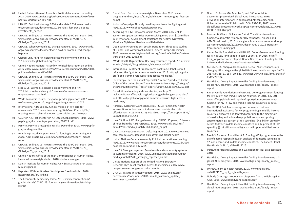- 40 United Nations General Assembly. Political declaration on ending AIDS. 2016. www.unaids.org/en/resources/documents/2016/2016 political-declaration-HIV-AIDS
- 41 UNAIDS. Fast track strategy 2014 and update 2016. www.unaids. org/en/resources/documents/2016/unaids\_fast-track\_update\_ investments\_needed
- 42 UNAIDS. Ending AIDS: Progress toward the 90-90-90 targets. 2017. www.unaids.org/en/resources/documents/2017/20170720\_ Global\_AIDS\_update\_2017
- 43 UNAIDS. When women lead, change happens. 2017. www.unaids. org/en/resources/documents/2017/when-women-lead-changehappens
- 44 Global Fund. HER: HIV epidemic response for women and girls. 2017. www.theglobalfund.org/en/her/
- 45 United Nations General Assembly. Political declaration on ending AIDS. 2016. www.unaids.org/en/resources/documents/2016/2016 political-declaration-HIV-AIDS
- 46 UNAIDS. Ending AIDS: Progress toward the 90-90-90 targets. 2017. www.unaids.org/en/resources/documents/2017/20170720\_ Global\_AIDS\_update\_2017
- 47 Stop AIDS. Women's economic empowerment and HIV. 2017. https://stopaids.org.uk/resources/womens-economicempowerment-and-hiv/
- 48 World Economic Forum. The global gender gap report. 2017. www. weforum.org/reports/the-global-gender-gap-report-2017
- 49 International AIDS Society. Clinical models of HIV care for adolescents. 2016. www.iasociety.org/Web/WebContent/File/ meeting report clinical models care adolescent 2016.pdf
- 50 U.S. PEPFAR. Fact sheet: PEPFAR Latest Global Results. 2018. www. pepfar.gov/documents/organization/276321.pdf
- 51 PEPFAR. PEPFAR latest global results. December 2017. www.pepfar. gov/funding/results/
- 52 HealthGap. Deadly impact: How flat funding is undermining U.S. global AIDS programs. 2018. ww.healthgap.org/deadly\_impact\_ report
- 53 UNAIDS. Ending AIDS: Progress toward the 90-90-90 targets. 2017. www.unaids.org/en/resources/documents/2017/20170720\_ Global AIDS update 2017
- 54 United Nations Office of the High Commissioner of Human Rights. Universal human rights index. 2018. uhri.ohchr.org/en
- 55 Danish Institute for Human Rights. UPR-SDG Data Explorer. www. humanrights.dk
- 56 Reporters Without Borders. World press freedom index. 2018. https://rsf.org/en/ranking
- 57 The Economist. Democracy Index. 2018. www.economist.com/ graphic-detail/2018/01/31/democracy-continues-its-disturbingretreat
- 58 Global Fund. Focus on human rights. December 2015. www. theglobalfund.org/media/1224/publication\_humanrights\_focuson en.pdf
- 59 Nobody Campaign. Nobody can disappear from the fight against AIDS. 2018. www.nobodycandisappear.org/
- 60 According to IHME data accessed in March 2018, only 5 of 19 Eastern European countries were receiving more than \$100 million in international development assistance for health: Kyrgyzstan, Moldova, Tajikistan, Ukraine, and Uzbekistan.
- 61 Open Society Foundations. Lost in translation: Three case studies of Global Fund withdrawal in South Eastern Europe. December 2017. www.opensocietyfoundations.org/sites/default/files/lost-intranslation-20171208.pdf
- 62 World Health Organization. HIV drug resistance report. 2017. www. who.int/hiv/pub/drugresistance/hivdr-report-2017
- 63 International Treatment Preparedness Coalition. Global summit refocuses the fight for access to medicines. 2018. http://itpcglobal. org/global-summit-refocuses-fight-access-medicines/
- 64 For example, see the annual "Special 301 report" produced by the Office of the United States Trade Representative at ttps://ustr.gov/ sites/default/files/files/Press/Reports/2018%20Special%20301.pdf
- 65 For additional reading and case studies, see http:// makemedicinesaffordable.org/en/strategy/challenging-trips-plus/ and http://itpcglobal.org/global-summit-refocuses-fight-accessmedicines/
- 66 Horton S, Gelband H, Jamison D, et al. (2017) Ranking 93 health interventions for low- and middle-income countries by costeffectiveness. PLoS ONE 12(8): e0182951. https://doi.org/10.1371/ journal.pone.0182951
- 67 UNAIDS. How AIDS changed everything. MDG6: 15 years, 15 lessons of hope from the AIDS response. 2015. www.unaids.org/sites/ default/files/media\_asset/MDG6Report\_en.pdf
- 68 UNAIDS Lancet Commission. Defeating AIDS. 2015. www.thelancet. com/commissions/defeating-aids-advancing-global-health
- 69 United Nations General Assembly. Political declaration on ending AIDS. 2016. www.unaids.org/en/resources/documents/2016/2016 political-declaration-HIV-AIDS
- 70 UNAIDS. Stronger together: From health and community systems to systems for health. 2016. www.unaids.org/sites/default/files/ media\_asset/JC2788\_stronger\_together\_en.pdf
- 71 United Nations. Report of the United Nations Secretary-General's High-Level Panel on access to medicines. 2016. www. unsgaccessmeds.org/reports-documents
- 72 UNAIDS. Fast track strategy update. 2016. www.unaids.org/ en/resources/documents/2016/unaids\_fast-track\_update\_ investments\_needed
- 73 Oberth G, Torres MA, Mumba O, and O'Connor M. A quarter for prevention? Global Fund investments in HIV prevention interventions in generalized African epidemics. Universal Journal of Public Health 5(5): 231-241, 2017. www. globalfundadvocatesnetwork.org/wp-content/uploads/2017/08/ UJPH5-17609872.pdf
- 74 Burrows D, Oberth G, Parsons D et al. Transitions from donor funding to domestic reliance for HIV responses. Aidspan and APMGlobal Health, 2016. www.globalfundadvocatesnetwork.org/ wp-content/uploads/2016/04/Aidspan-APMG-2016-Transitionfrom-Donor-Funding.pdf
- 75 Kaiser Family Foundation and UNAIDS. Donor Government Funding for HIV in Low- and Middle-Income Countries in 2016. http://\_ les.k\_.org/attachment/Report-Donor-Government-Funding-for-HIVin-Low-and-Middle-Income-Countries-in-2016
- 76 McGillen, JB., Sharp A, Honermann B, et al. "Consequences of a changing US strategy in the global HIV investment landscape." AIDS. 2017 Nov 28; 31(18): F19–F23. www.ncbi.nlm.nih.gov/pmc/articles/ PMC5690304/
- 77 HealthGap. Deadly impact: How flat funding is undermining U.S. global AIDS programs. 2018. ww.healthgap.org/deadly\_impact\_ report
- 78 Kaiser Family Foundation and UNAIDS. Donor government funding for HIV in low- and middle-income countries in 2016. July 2017. www.kff.org/global-health-policy/report/donor-governmentfunding-for-hiv-in-low-and-middle-income-countries-in-2016/
- 79 The UNAIDS Fast Track strategy recommends continued international assistance for HIV programming in middle-income countries, allocated and targeted according to the magnitude of need in key and vulnerable populations, and comprising approximately 55 percent of HIV spending (\$4.5 billion annually) across 43 lower middle-income countries and 12 percent of HIV spending (\$1.4 billion annually) across 42 upper middle-income countries.
- 80 Resch S, Ryckman T, and Hecht R. Funding AIDS programmes in the era of shared responsibility: an analysis of domestic spending in 12 low-income and middle-income countries. The Lancet Global Health, Vol.3, No.1, e52-e61. 2015.
- 81 Institute for Health Metrics and Evaluation (IHME) data accessed 2018.
- 82 HealthGap. Deadly impact: How flat funding is undermining U.S. global AIDS programs. 2018. ww.healthgap.org/deadly\_impact\_ report
- 83 UNAIDS. Right to health report. 2017. www.unaids.org/ en/20171120 right to health report
- 84 Nobody Campaign. Nobody can disappear from the fight against AIDS. 2018. www.nobodycandisappear.org/
- 85 HealthGap. Deadly impact: How flat funding is undermining U.S. global AIDS programs. 2018. ww.healthgap.org/deadly\_impact\_ report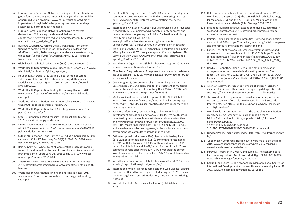- 86 Eurasian Harm Reduction Network. The impact of transition from global fund support to governmental funding on the sustainability of harm reduction programs. www.harm-reduction.org/library/ impact-transition-global-fund-support-governmental-fundingsustainability-harm-reduction-romania
- 87 Eurasian Harm Reduction Network. Action plan to reverse destructive HIV financing trends in middle-income countries. 2017. www.harm-reduction.org/sites/default/\_les/pdf/ mics-actionplan\_\_nal\_dec\_17.pdf
- 88 Burrows D, Oberth G, Parsons D et al. Transitions from donor funding to domestic reliance for HIV responses. Aidspan and APMGlobal Health, 2016. www.globalfundadvocatesnetwork.org/ wp-content/uploads/2016/04/Aidspan-APMG-2016-Transitionfrom-Donor-Funding.pdf
- 89 Global Fund. Technical review panel (TRP) report. October 2017.
- 90 World Health Organization. Global Tuberculosis Report. 2017. www. who.int/tb/publications/global\_report/en/
- 91 Houben RMGJ, Dodd PJ (2016) The Global Burden of Latent Tuberculosis Infection: A Re-estimation Using Mathematical Modelling. PLoS Med 13(10): e1002152. doi:10.1371/journal. pmed.1002152
- World Health Organization. Finding the missing TB cases. 2017. www.who.int/tb/areas-of-work/children/missing\_childhoodtb\_ cases.pdf
- 93 World Health Organization. Global Tuberculosis Report. 2017. www. who.int/tb/publications/global\_report/en/
- 94 World Health Organization. End TB Strategy. www.who.int/tb/ post2015\_strategy/en/
- 95 Stop TB Partnership. Paradigm shift: The global plan to end TB. 2015. www.stoptb.org/global/plan/
- 96 United Nations General Assembly. Political declaration on ending AIDS. 2016. www.unaids.org/en/resources/documents/2016/2016 political-declaration-HIV-AIDS
- 97 Suthar AB, Zachariah R and Harries AD. Ending tuberculosis by 2030: can we do it? Int J Tuberc Lung Dis 20(9):1148–1154. 2016. www. ncbi.nlm.nih.gov/pubmed/27510238
- 98 Reid A, Grant AD, White RG, et al. Accelerating progress towards tuberculosis elimination: the need for combination treatment and prevention. Int J Tuberc Lung Dis. 2015 Jan;19(1):5-9. www.ncbi. nlm.nih.gov/pubmed/25519784
- Treatment Action Group. An activist's guide to the TB LAM test. 2017. http://treatmentactiongroup.org/content/activists-guide-tblam-test
- 100 World Health Organization. Finding the missing TB cases. 2017. www.who.int/tb/areas-of-work/children/missing\_childhoodtb\_ cases.pdf
- 101 Getahun H. Setting the scene: ENGAGE-TB approach for integrated community-based TB activities and finding the missing TB cases. 2018. www.who.int/tb/features\_archive/setting\_the\_scene getahun\_11apr18.pdf
- 102 International Civil Society Support (ICSS) and Global Fund Advocates Network (GFAN). Summary of civil society priority concerns and recommendations regarding the Political Declaration and UN High Level Meeting on TB. April 2018. www.globalfundadvocatesnetwork.org/wp-content/ uploads/2018/05/TB-HLM-Community-Consultation-Matrix.pdf
- 103 Malar J and Smyth C. Stop TB Partnership Consultation on Finding Missing People with TB through Integrated Community-based TB Service Delivery. 2018. www.who.int/tb/features\_archive/addis agenda\_11to13apr2018.pdf
- 104 World Health Organization. Global Tuberculosis Report. 2017. www. who.int/tb/publications/global\_report/en/
- 105 TB Alliance. Drug resistance: A response to antimicrobial resistance includes tackling TB. 2018. www.tballiance.org/why-new-tb-drugs/ antimicrobial-resistance
- 106 Cox V, Brigden G, Crespo RH, et al. (2018). Global programmatic use of bedaquiline and delamanid for the treatment of multidrugresistant tuberculosis. Int J Tuberc Lung Dis. 2018 Apr 1;22(4):407- 412. www.ncbi.nlm.nih.gov/pubmed/29562988
- 107 Médecins Sans Frontières. MSF response to the WHO Global TB Report. 2017. www.msfaccess.org/about-us/media-room/pressreleases/m%C3%A9decins-sans-fronti%C3%A8res-response-worldhealth-organization
- 108 For more information, see: www.theguardian.com/globaldevelopment-professionals-network/2014/jul/07/tb-south-africapatents-drug-resistance-phumeza-tisile-medicins-sans-frontieres and www.fixthepatentlaws.org/wp-content/uploads/2016/09/ MSF-FTPL-report-final-version.pdf (pp 48 - 51 on MDR TB drugs) and www.lawyerscollective.org/news/indian-civil-society-pushesgovernment-use-compulsory-license-mdr-tb-drugs
- 109 Estimated generic prices were \$8–\$17/month for bedaquiline, \$5–\$16/month for delamanid, \$11–\$34/month for pretomanid, \$4–\$9/month for linezolid, \$4–\$9/month for sutezolid, \$4–\$11/ month for clofazimine and \$4–\$8/month for moxifloxacin. These estimated generic prices were 87%–94% lower than the current lowest available prices for bedaquiline, 95%–98% for delamanid and 94%–97% for linezolid.
- 110 World Health Organization. Global Tuberculosis Report. 2017. www. who.int/tb/publications/global\_report/en/
- 111 International Union Against Tuberculosis and Lung Disease. Briefing note for the United Nations High-Level Meeting on TB. 2018. www. theunion.org/news-centre/introduction/TheUnion\_HLM\_Briefing-Note.pdf
- 112 Institute for Health Metrics and Evaluation (IHME) data accessed 2018.
- 113 Unless otherwise notes, all statistics are derived from the WHO World Malaria Report (2017), the WHO Global Technical Strategy for Malaria (2015), and the 2015 Roll Back Malaria Action and Investment to defeat Malaria (AIM) Strategy 2016 -2030.
- 114 President's Malaria Initiative. Expansion to five new countries in West and Central Africa. 2018. https://borgenproject.org/pmiexpansion-new-countries/
- 115 Unitaid. Unitaid sharpens and intensifies its interventions against malaria. April 2018. https://unitaid.eu/news-blog/unitaid-sharpensand-intensifies-its-interventions-against-malaria
- 116 Cohen, J. M. et al. Malaria resurgence: a systematic review and assessment of its causes. Malar. J. 11, 122 (2012). https://media. springernature.com/full/springer-static/image/art%3A10.1186% 2F1475-2875-11-122/MediaObjects/12936\_2012\_Article\_2184\_ Fig5\_HTML.jpg
- 117 Newby G, Bennett A, Larson E, et al. The path to eradication: a progress report on the malaria eliminating countries. The Lancet, Vol. 387, No. 10029, pp. 1775–1784, 23 April 2016. www. thelancet.com/journals/lancet/article/PIIS0140-6736(16)00230-0/ supplemental
- 118 As one strategy to increase the numbers of children tested for malaria, Unitaid and others are investing in rapid diagnostic tests. See https://unitaid.eu/investment-area/malaria-diagnostics
- 119 The World Health Organization, Unitaid, and other agencies are working to deliver affordable new insecticides and insecticidetreated nets. See https://unitaid.eu/news-blog/new-insecticideused-fight-malaria/
- 120 World Health Organization. Malaria: The control in humanitarian emergencies: An inter-agency field handbook. Second Edition Field Handbook. http://apps.who.int/iris/bitstream/ handle/10665/90556/ 9789241548656\_eng.pdf;jsessionid= 21014D5117ED2BAB1E3C1D32B8194332?sequence=1
- 121 Fund for Peace. Fragile states index 2018. http://fundforpeace.org/ fsi/
- 122 Copenhagen Consensus. Here's how to wipe malaria off the map. 2015. www.copenhagenconsensus.com/post-2015-consensus/ news/heres-how-wipe-malaria-map
- 123 Purdy M., Robinson M., Wei K. and Rublin D. The economic case for combating malaria. Am. J. Trop. Med. Hyg. 89, 819-823 (2013). www.ncbi.nlm.nih.gov/pubmed/24197172
- 124 Gallup JL and Sachs JD. The economic burden of malaria. Centre for International Development at Harvard University. Working Paper 52. 2001. www.ncbi.nlm.nih.gov/pubmed/11425181